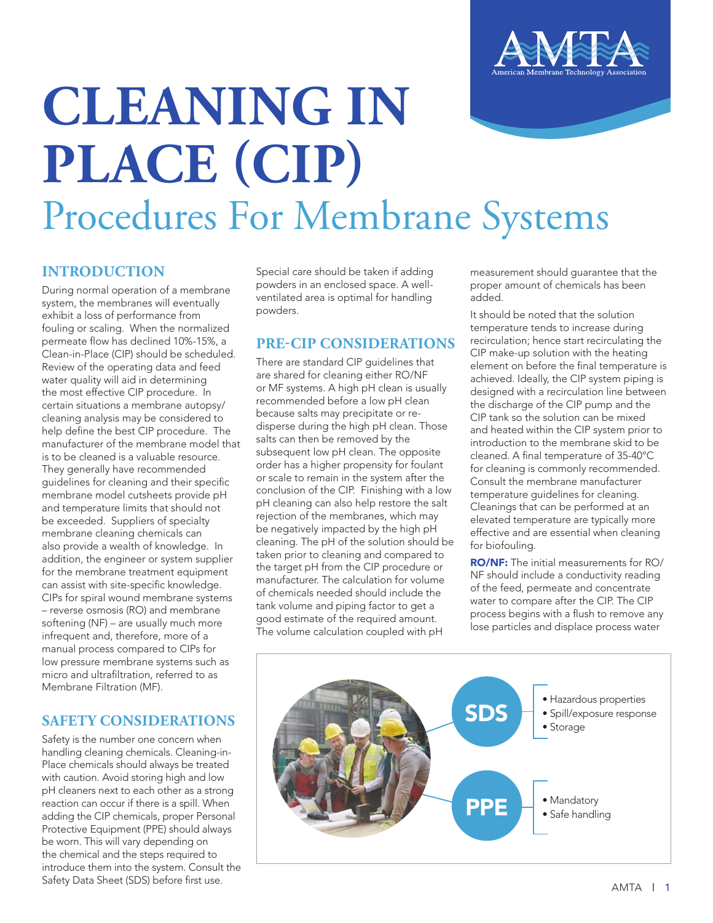

# **CLEANING IN PLACE (CIP)** Procedures For Membrane Systems

### **INTRODUCTION**

During normal operation of a membrane system, the membranes will eventually exhibit a loss of performance from fouling or scaling. When the normalized permeate flow has declined 10%-15%, a Clean-in-Place (CIP) should be scheduled. Review of the operating data and feed water quality will aid in determining the most effective CIP procedure. In certain situations a membrane autopsy/ cleaning analysis may be considered to help define the best CIP procedure. The manufacturer of the membrane model that is to be cleaned is a valuable resource. They generally have recommended guidelines for cleaning and their specific membrane model cutsheets provide pH and temperature limits that should not be exceeded. Suppliers of specialty membrane cleaning chemicals can also provide a wealth of knowledge. In addition, the engineer or system supplier for the membrane treatment equipment can assist with site-specific knowledge. CIPs for spiral wound membrane systems – reverse osmosis (RO) and membrane softening (NF) – are usually much more infrequent and, therefore, more of a manual process compared to CIPs for low pressure membrane systems such as micro and ultrafiltration, referred to as Membrane Filtration (MF).

#### **SAFETY CONSIDERATIONS**

Safety is the number one concern when handling cleaning chemicals. Cleaning-in-Place chemicals should always be treated with caution. Avoid storing high and low pH cleaners next to each other as a strong reaction can occur if there is a spill. When adding the CIP chemicals, proper Personal Protective Equipment (PPE) should always be worn. This will vary depending on the chemical and the steps required to introduce them into the system. Consult the Safety Data Sheet (SDS) before first use.

Special care should be taken if adding powders in an enclosed space. A wellventilated area is optimal for handling powders.

## **PRE-CIP CONSIDERATIONS**

There are standard CIP guidelines that are shared for cleaning either RO/NF or MF systems. A high pH clean is usually recommended before a low pH clean because salts may precipitate or redisperse during the high pH clean. Those salts can then be removed by the subsequent low pH clean. The opposite order has a higher propensity for foulant or scale to remain in the system after the conclusion of the CIP. Finishing with a low pH cleaning can also help restore the salt rejection of the membranes, which may be negatively impacted by the high pH cleaning. The pH of the solution should be taken prior to cleaning and compared to the target pH from the CIP procedure or manufacturer. The calculation for volume of chemicals needed should include the tank volume and piping factor to get a good estimate of the required amount. The volume calculation coupled with pH

measurement should guarantee that the proper amount of chemicals has been added.

It should be noted that the solution temperature tends to increase during recirculation; hence start recirculating the CIP make-up solution with the heating element on before the final temperature is achieved. Ideally, the CIP system piping is designed with a recirculation line between the discharge of the CIP pump and the CIP tank so the solution can be mixed and heated within the CIP system prior to introduction to the membrane skid to be cleaned. A final temperature of 35-40°C for cleaning is commonly recommended. Consult the membrane manufacturer temperature guidelines for cleaning. Cleanings that can be performed at an elevated temperature are typically more effective and are essential when cleaning for biofouling.

RO/NF: The initial measurements for RO/ NF should include a conductivity reading of the feed, permeate and concentrate water to compare after the CIP. The CIP process begins with a flush to remove any lose particles and displace process water

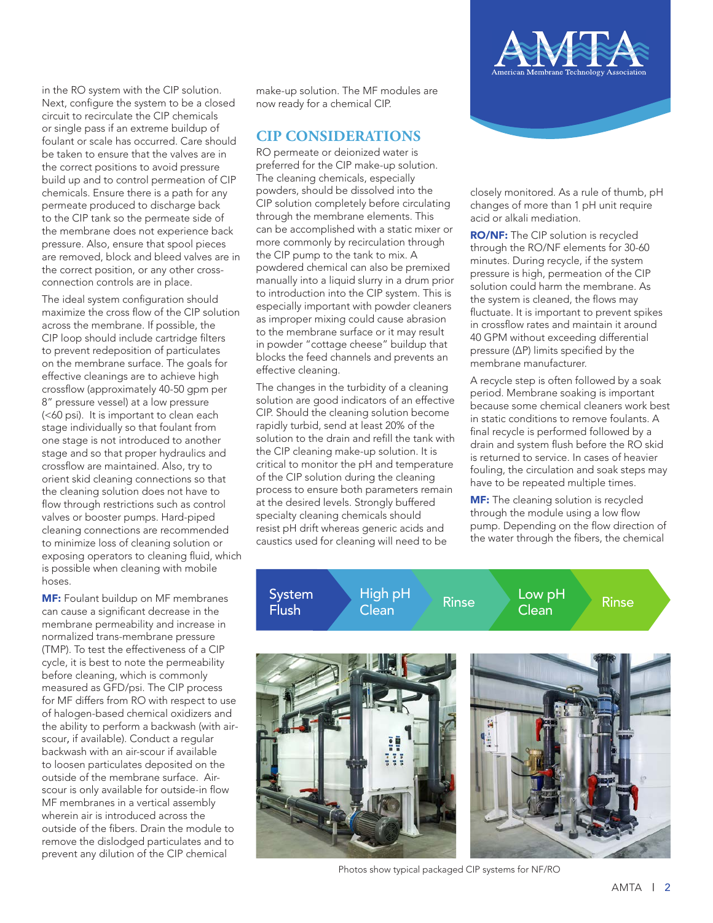in the RO system with the CIP solution. Next, configure the system to be a closed circuit to recirculate the CIP chemicals or single pass if an extreme buildup of foulant or scale has occurred. Care should be taken to ensure that the valves are in the correct positions to avoid pressure build up and to control permeation of CIP chemicals. Ensure there is a path for any permeate produced to discharge back to the CIP tank so the permeate side of the membrane does not experience back pressure. Also, ensure that spool pieces are removed, block and bleed valves are in the correct position, or any other crossconnection controls are in place.

The ideal system configuration should maximize the cross flow of the CIP solution across the membrane. If possible, the CIP loop should include cartridge filters to prevent redeposition of particulates on the membrane surface. The goals for effective cleanings are to achieve high crossflow (approximately 40-50 gpm per 8" pressure vessel) at a low pressure (<60 psi). It is important to clean each stage individually so that foulant from one stage is not introduced to another stage and so that proper hydraulics and crossflow are maintained. Also, try to orient skid cleaning connections so that the cleaning solution does not have to flow through restrictions such as control valves or booster pumps. Hard-piped cleaning connections are recommended to minimize loss of cleaning solution or exposing operators to cleaning fluid, which is possible when cleaning with mobile hoses.

MF: Foulant buildup on MF membranes can cause a significant decrease in the membrane permeability and increase in normalized trans-membrane pressure (TMP). To test the effectiveness of a CIP cycle, it is best to note the permeability before cleaning, which is commonly measured as GFD/psi. The CIP process for MF differs from RO with respect to use of halogen-based chemical oxidizers and the ability to perform a backwash (with airscour, if available). Conduct a regular backwash with an air-scour if available to loosen particulates deposited on the outside of the membrane surface. Airscour is only available for outside-in flow MF membranes in a vertical assembly wherein air is introduced across the outside of the fibers. Drain the module to remove the dislodged particulates and to prevent any dilution of the CIP chemical

make-up solution. The MF modules are now ready for a chemical CIP.

#### **CIP CONSIDERATIONS**

RO permeate or deionized water is preferred for the CIP make-up solution. The cleaning chemicals, especially powders, should be dissolved into the CIP solution completely before circulating through the membrane elements. This can be accomplished with a static mixer or more commonly by recirculation through the CIP pump to the tank to mix. A powdered chemical can also be premixed manually into a liquid slurry in a drum prior to introduction into the CIP system. This is especially important with powder cleaners as improper mixing could cause abrasion to the membrane surface or it may result in powder "cottage cheese" buildup that blocks the feed channels and prevents an effective cleaning.

The changes in the turbidity of a cleaning solution are good indicators of an effective CIP. Should the cleaning solution become rapidly turbid, send at least 20% of the solution to the drain and refill the tank with the CIP cleaning make-up solution. It is critical to monitor the pH and temperature of the CIP solution during the cleaning process to ensure both parameters remain at the desired levels. Strongly buffered specialty cleaning chemicals should resist pH drift whereas generic acids and caustics used for cleaning will need to be



closely monitored. As a rule of thumb, pH changes of more than 1 pH unit require acid or alkali mediation.

RO/NF: The CIP solution is recycled through the RO/NF elements for 30-60 minutes. During recycle, if the system pressure is high, permeation of the CIP solution could harm the membrane. As the system is cleaned, the flows may fluctuate. It is important to prevent spikes in crossflow rates and maintain it around 40 GPM without exceeding differential pressure (ΔP) limits specified by the membrane manufacturer.

A recycle step is often followed by a soak period. Membrane soaking is important because some chemical cleaners work best in static conditions to remove foulants. A final recycle is performed followed by a drain and system flush before the RO skid is returned to service. In cases of heavier fouling, the circulation and soak steps may have to be repeated multiple times.

**MF:** The cleaning solution is recycled through the module using a low flow pump. Depending on the flow direction of the water through the fibers, the chemical

Flush

High pH High pH Rinse Low pH<br>Clean Rinse Clean System High pH Rinse Low pH Rinse<br>Flush Clean Rinse Clean Rinse



Photos show typical packaged CIP systems for NF/RO